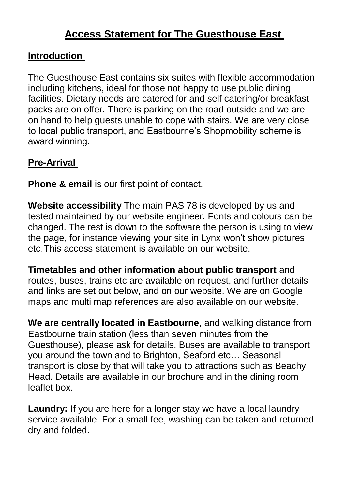# **Access Statement for The Guesthouse East**

### **Introduction**

The Guesthouse East contains six suites with flexible accommodation including kitchens, ideal for those not happy to use public dining facilities. Dietary needs are catered for and self catering/or breakfast packs are on offer. There is parking on the road outside and we are on hand to help guests unable to cope with stairs. We are very close to local public transport, and Eastbourne's Shopmobility scheme is award winning.

### **Pre-Arrival**

**Phone & email** is our first point of contact.

**Website accessibility** The main PAS 78 is developed by us and tested maintained by our website engineer. Fonts and colours can be changed. The rest is down to the software the person is using to view the page, for instance viewing your site in Lynx won't show pictures etc. This access statement is available on our website.

**Timetables and other information about public transport** and routes, buses, trains etc are available on request, and further details and links are set out below, and on our website. We are on Google maps and multi map references are also available on our website.

**We are centrally located in Eastbourne**, and walking distance from Eastbourne train station (less than seven minutes from the Guesthouse), please ask for details. Buses are available to transport you around the town and to Brighton, Seaford etc… Seasonal transport is close by that will take you to attractions such as Beachy Head. Details are available in our brochure and in the dining room leaflet box.

**Laundry:** If you are here for a longer stay we have a local laundry service available. For a small fee, washing can be taken and returned dry and folded.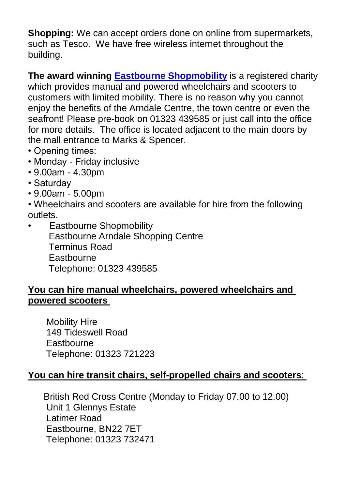**Shopping:** We can accept orders done on online from supermarkets, such as Tesco. We have free wireless internet throughout the building.

**The award winning [Eastbourne Shopmobility](http://www.eastbournearndaleshopping.co.uk/forShoppers/shopmobility/default.asp)** is a registered charity which provides manual and powered wheelchairs and scooters to customers with limited mobility. There is no reason why you cannot enjoy the benefits of the Arndale Centre, the town centre or even the seafront! Please pre-book on 01323 439585 or just call into the office for more details. The office is located adjacent to the main doors by the mall entrance to Marks & Spencer.

- Opening times:
- Monday Friday inclusive
- 9.00am 4.30pm
- Saturday
- 9.00am 5.00pm

• Wheelchairs and scooters are available for hire from the following outlets.

• Eastbourne Shopmobility Eastbourne Arndale Shopping Centre Terminus Road **Eastbourne** Telephone: 01323 439585

### **You can hire manual wheelchairs, powered wheelchairs and powered scooters**

 Mobility Hire 149 Tideswell Road **Eastbourne** Telephone: 01323 721223

### **You can hire transit chairs, self-propelled chairs and scooters**:

 British Red Cross Centre (Monday to Friday 07.00 to 12.00) Unit 1 Glennys Estate Latimer Road Eastbourne, BN22 7ET Telephone: 01323 732471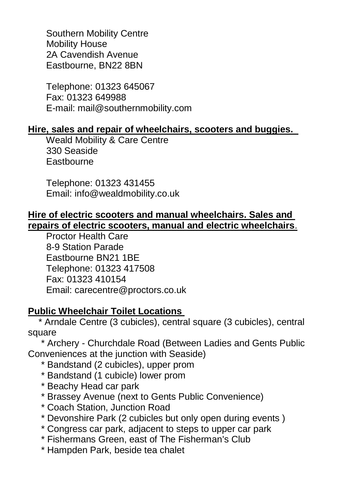Southern Mobility Centre Mobility House 2A Cavendish Avenue Eastbourne, BN22 8BN

 Telephone: 01323 645067 Fax: 01323 649988 E-mail: mail@southernmobility.com

#### **Hire, sales and repair of wheelchairs, scooters and buggies.**

 Weald Mobility & Care Centre 330 Seaside **Eastbourne** 

 Telephone: 01323 431455 Email: info@wealdmobility.co.uk

#### **Hire of electric scooters and manual wheelchairs. Sales and repairs of electric scooters, manual and electric wheelchairs**.

 Proctor Health Care 8-9 Station Parade Eastbourne BN21 1BE Telephone: 01323 417508 Fax: 01323 410154 Email: carecentre@proctors.co.uk

### **Public Wheelchair Toilet Locations**

 \* Arndale Centre (3 cubicles), central square (3 cubicles), central square

 \* Archery - Churchdale Road (Between Ladies and Gents Public Conveniences at the junction with Seaside)

- \* Bandstand (2 cubicles), upper prom
- \* Bandstand (1 cubicle) lower prom
- \* Beachy Head car park
- \* Brassey Avenue (next to Gents Public Convenience)
- \* Coach Station, Junction Road
- \* Devonshire Park (2 cubicles but only open during events )
- \* Congress car park, adjacent to steps to upper car park
- \* Fishermans Green, east of The Fisherman's Club
- \* Hampden Park, beside tea chalet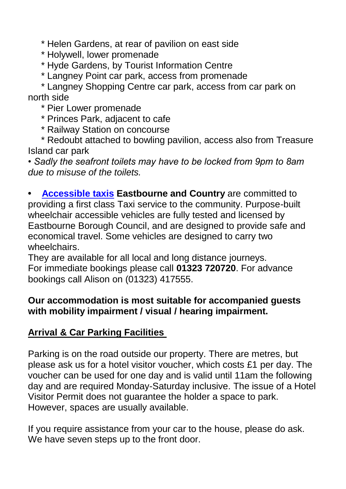\* Helen Gardens, at rear of pavilion on east side

\* Holywell, lower promenade

\* Hyde Gardens, by Tourist Information Centre

\* Langney Point car park, access from promenade

 \* Langney Shopping Centre car park, access from car park on north side

\* Pier Lower promenade

\* Princes Park, adjacent to cafe

\* Railway Station on concourse

 \* Redoubt attached to bowling pavilion, access also from Treasure Island car park

*• Sadly the seafront toilets may have to be locked from 9pm to 8am due to misuse of the toilets.* 

**• [Accessible taxis](http://720taxis.com/special-services/wheelchair-accessibility-taxi-private-hire-eastbourne.html) Eastbourne and Country** are committed to providing a first class Taxi service to the community. Purpose-built wheelchair accessible vehicles are fully tested and licensed by Eastbourne Borough Council, and are designed to provide safe and economical travel. Some vehicles are designed to carry two wheelchairs.

They are available for all local and long distance journeys. For immediate bookings please call **01323 720720**. For advance bookings call Alison on (01323) 417555.

### **Our accommodation is most suitable for accompanied guests with mobility impairment / visual / hearing impairment.**

### **Arrival & Car Parking Facilities**

Parking is on the road outside our property. There are metres, but please ask us for a hotel visitor voucher, which costs £1 per day. The voucher can be used for one day and is valid until 11am the following day and are required Monday-Saturday inclusive. The issue of a Hotel Visitor Permit does not guarantee the holder a space to park. However, spaces are usually available.

If you require assistance from your car to the house, please do ask. We have seven steps up to the front door.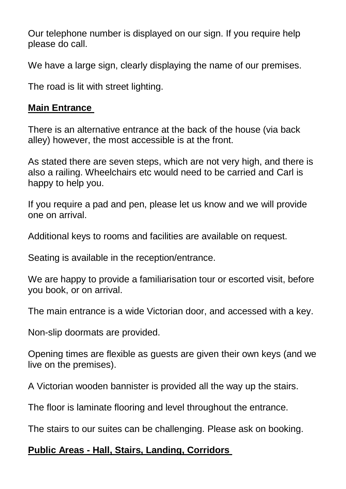Our telephone number is displayed on our sign. If you require help please do call.

We have a large sign, clearly displaying the name of our premises.

The road is lit with street lighting.

### **Main Entrance**

There is an alternative entrance at the back of the house (via back alley) however, the most accessible is at the front.

As stated there are seven steps, which are not very high, and there is also a railing. Wheelchairs etc would need to be carried and Carl is happy to help you.

If you require a pad and pen, please let us know and we will provide one on arrival.

Additional keys to rooms and facilities are available on request.

Seating is available in the reception/entrance.

We are happy to provide a familiarisation tour or escorted visit, before you book, or on arrival.

The main entrance is a wide Victorian door, and accessed with a key.

Non-slip doormats are provided.

Opening times are flexible as guests are given their own keys (and we live on the premises).

A Victorian wooden bannister is provided all the way up the stairs.

The floor is laminate flooring and level throughout the entrance.

The stairs to our suites can be challenging. Please ask on booking.

### **Public Areas - Hall, Stairs, Landing, Corridors**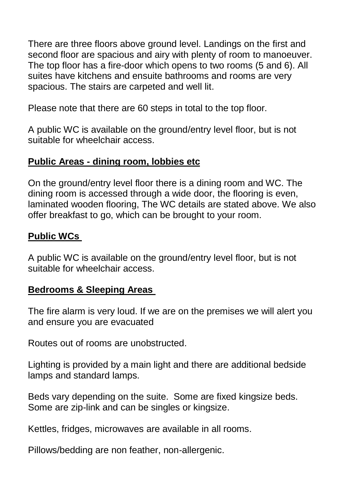There are three floors above ground level. Landings on the first and second floor are spacious and airy with plenty of room to manoeuver. The top floor has a fire-door which opens to two rooms (5 and 6). All suites have kitchens and ensuite bathrooms and rooms are very spacious. The stairs are carpeted and well lit.

Please note that there are 60 steps in total to the top floor.

A public WC is available on the ground/entry level floor, but is not suitable for wheelchair access.

### **Public Areas - dining room, lobbies etc**

On the ground/entry level floor there is a dining room and WC. The dining room is accessed through a wide door, the flooring is even, laminated wooden flooring, The WC details are stated above. We also offer breakfast to go, which can be brought to your room.

### **Public WCs**

A public WC is available on the ground/entry level floor, but is not suitable for wheelchair access.

### **Bedrooms & Sleeping Areas**

The fire alarm is very loud. If we are on the premises we will alert you and ensure you are evacuated

Routes out of rooms are unobstructed.

Lighting is provided by a main light and there are additional bedside lamps and standard lamps.

Beds vary depending on the suite. Some are fixed kingsize beds. Some are zip-link and can be singles or kingsize.

Kettles, fridges, microwaves are available in all rooms.

Pillows/bedding are non feather, non-allergenic.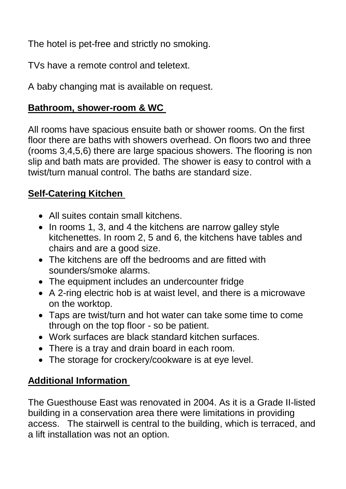The hotel is pet-free and strictly no smoking.

TVs have a remote control and teletext.

A baby changing mat is available on request.

# **Bathroom, shower-room & WC**

All rooms have spacious ensuite bath or shower rooms. On the first floor there are baths with showers overhead. On floors two and three (rooms 3,4,5,6) there are large spacious showers. The flooring is non slip and bath mats are provided. The shower is easy to control with a twist/turn manual control. The baths are standard size.

# **Self-Catering Kitchen**

- All suites contain small kitchens.
- In rooms 1, 3, and 4 the kitchens are narrow galley style kitchenettes. In room 2, 5 and 6, the kitchens have tables and chairs and are a good size.
- The kitchens are off the bedrooms and are fitted with sounders/smoke alarms.
- The equipment includes an undercounter fridge
- A 2-ring electric hob is at waist level, and there is a microwave on the worktop.
- Taps are twist/turn and hot water can take some time to come through on the top floor - so be patient.
- Work surfaces are black standard kitchen surfaces.
- There is a tray and drain board in each room.
- The storage for crockery/cookware is at eye level.

# **Additional Information**

The Guesthouse East was renovated in 2004. As it is a Grade II-listed building in a conservation area there were limitations in providing access. The stairwell is central to the building, which is terraced, and a lift installation was not an option.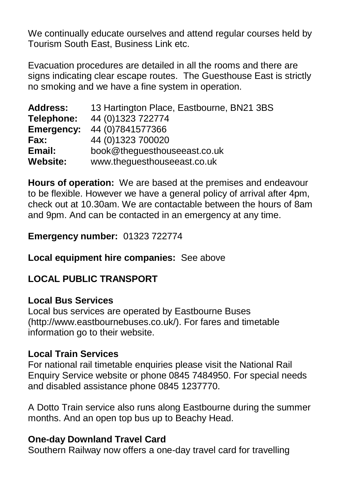We continually educate ourselves and attend regular courses held by Tourism South East, Business Link etc.

Evacuation procedures are detailed in all the rooms and there are signs indicating clear escape routes. The Guesthouse East is strictly no smoking and we have a fine system in operation.

| <b>Address:</b>   | 13 Hartington Place, Eastbourne, BN21 3BS |
|-------------------|-------------------------------------------|
| Telephone:        | 44 (0) 1323 722774                        |
| <b>Emergency:</b> | 44 (0) 7841577366                         |
| <b>Fax:</b>       | 44 (0) 1323 700020                        |
| Email:            | book@theguesthouseeast.co.uk              |
| <b>Website:</b>   | www.theguesthouseeast.co.uk               |

**Hours of operation:** We are based at the premises and endeavour to be flexible. However we have a general policy of arrival after 4pm, check out at 10.30am. We are contactable between the hours of 8am and 9pm. And can be contacted in an emergency at any time.

### **Emergency number:** 01323 722774

### **Local equipment hire companies:** See above

# **LOCAL PUBLIC TRANSPORT**

### **Local Bus Services**

Local bus services are operated by Eastbourne Buses (http://www.eastbournebuses.co.uk/). For fares and timetable information go to their website.

### **Local Train Services**

For national rail timetable enquiries please visit the National Rail Enquiry Service website or phone 0845 7484950. For special needs and disabled assistance phone 0845 1237770.

A Dotto Train service also runs along Eastbourne during the summer months. And an open top bus up to Beachy Head.

### **One-day Downland Travel Card**

Southern Railway now offers a one-day travel card for travelling